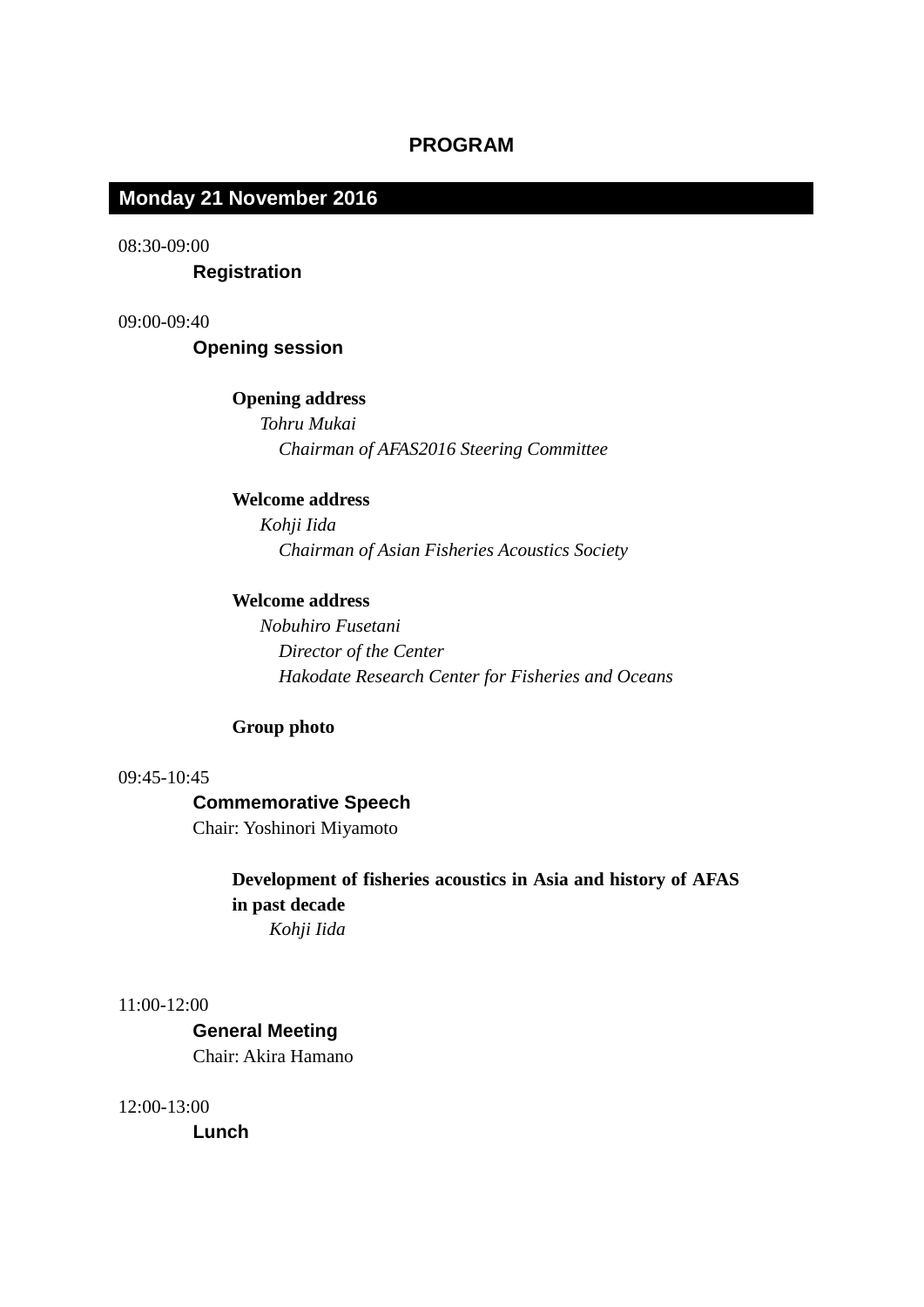# **PROGRAM**

# **Tuesday 5 November Monday 21 November 2016**

08:30-09:00

 **Registration**

09:00-09:40

 **Opening session**

#### **Opening address**

 *Tohru Mukai Chairman of AFAS2016 Steering Committee*

### **Welcome address**

 *Kohji Iida Chairman of Asian Fisheries Acoustics Society*

#### **Welcome address**

 *Nobuhiro Fusetani Director of the Center Hakodate Research Center for Fisheries and Oceans*

# **Group photo**

### 09:45-10:45

# **Commemorative Speech**

Chair: Yoshinori Miyamoto

**Development of fisheries acoustics in Asia and history of AFAS in past decade** *Kohji Iida*

11:00-12:00

 **General Meeting** Chair: Akira Hamano

12:00-13:00

 **Lunch**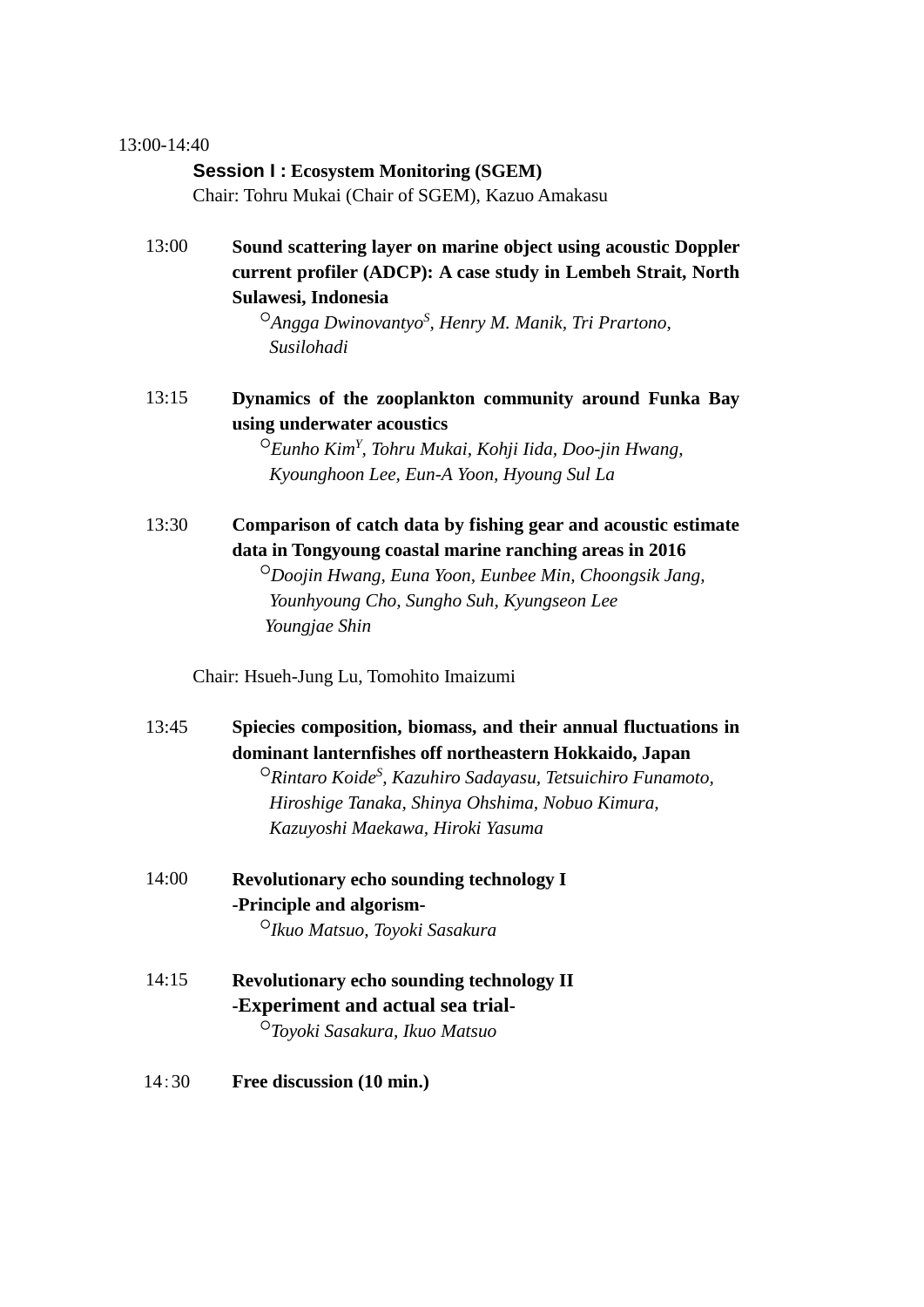### 13:00-14:40

### **Session I : Ecosystem Monitoring (SGEM)**

Chair: Tohru Mukai (Chair of SGEM), Kazuo Amakasu

13:00 **Sound scattering layer on marine object using acoustic Doppler current profiler (ADCP): A case study in Lembeh Strait, North Sulawesi, Indonesia**

> ○*Angga DwinovantyoS , Henry M. Manik, Tri Prartono, Susilohadi*

13:15 **Dynamics of the zooplankton community around Funka Bay using underwater acoustics**

> ○*Eunho KimY , Tohru Mukai, Kohji Iida, Doo-jin Hwang, Kyounghoon Lee, Eun-A Yoon, Hyoung Sul La*

13:30 **Comparison of catch data by fishing gear and acoustic estimate data in Tongyoung coastal marine ranching areas in 2016**

> ○*Doojin Hwang, Euna Yoon, Eunbee Min, Choongsik Jang, Younhyoung Cho, Sungho Suh, Kyungseon Lee Youngjae Shin*

Chair: Hsueh-Jung Lu, Tomohito Imaizumi

| 13:45 | Spiecies composition, biomass, and their annual fluctuations in                |
|-------|--------------------------------------------------------------------------------|
|       | dominant lanternfishes off northeastern Hokkaido, Japan                        |
|       | $\Omega$ Rintaro Koide <sup>S</sup> , Kazuhiro Sadayasu, Tetsuichiro Funamoto, |

*Hiroshige Tanaka, Shinya Ohshima, Nobuo Kimura, Kazuyoshi Maekawa, Hiroki Yasuma*

- 14:00 **Revolutionary echo sounding technology I -Principle and algorism-** ○*Ikuo Matsuo, Toyoki Sasakura*
- 14:15 **Revolutionary echo sounding technology II -Experiment and actual sea trial-** ○*Toyoki Sasakura, Ikuo Matsuo*
- 14:30 **Free discussion (10 min.)**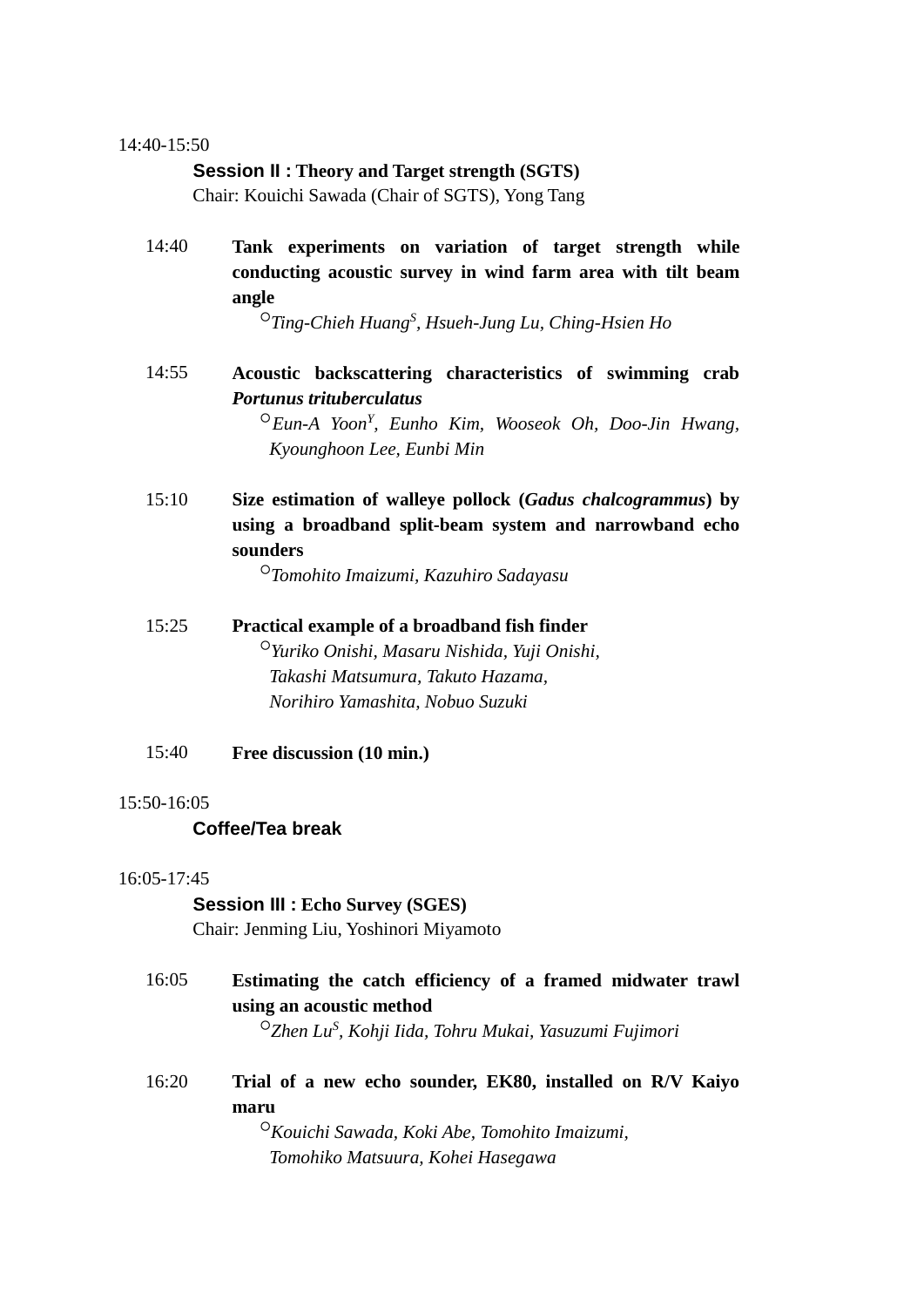#### 14:40-15:50

#### **Session II : Theory and Target strength (SGTS)**

Chair: Kouichi Sawada (Chair of SGTS), Yong Tang

14:40 **Tank experiments on variation of target strength while conducting acoustic survey in wind farm area with tilt beam angle**

○*Ting-Chieh HuangS , Hsueh-Jung Lu, Ching-Hsien Ho*

# 14:55 **Acoustic backscattering characteristics of swimming crab**  *Portunus trituberculatus*

 ○*Eun-A YoonY , Eunho Kim, Wooseok Oh, Doo-Jin Hwang, Kyounghoon Lee, Eunbi Min*

15:10 **Size estimation of walleye pollock (***Gadus chalcogrammus***) by using a broadband split-beam system and narrowband echo sounders**

○*Tomohito Imaizumi, Kazuhiro Sadayasu*

- 15:25 **Practical example of a broadband fish finder** ○*Yuriko Onishi, Masaru Nishida, Yuji Onishi, Takashi Matsumura, Takuto Hazama, Norihiro Yamashita, Nobuo Suzuki*
- 15:40 **Free discussion (10 min.)**

#### 15:50-16:05

### **Coffee/Tea break**

#### 16:05-17:45

 **Session III : Echo Survey (SGES)** Chair: Jenming Liu, Yoshinori Miyamoto

- 16:05 **Estimating the catch efficiency of a framed midwater trawl using an acoustic method** ○*Zhen LuS , Kohji Iida, Tohru Mukai, Yasuzumi Fujimori*
- 16:20 **Trial of a new echo sounder, EK80, installed on R/V Kaiyo maru**

 ○*Kouichi Sawada, Koki Abe, Tomohito Imaizumi, Tomohiko Matsuura, Kohei Hasegawa*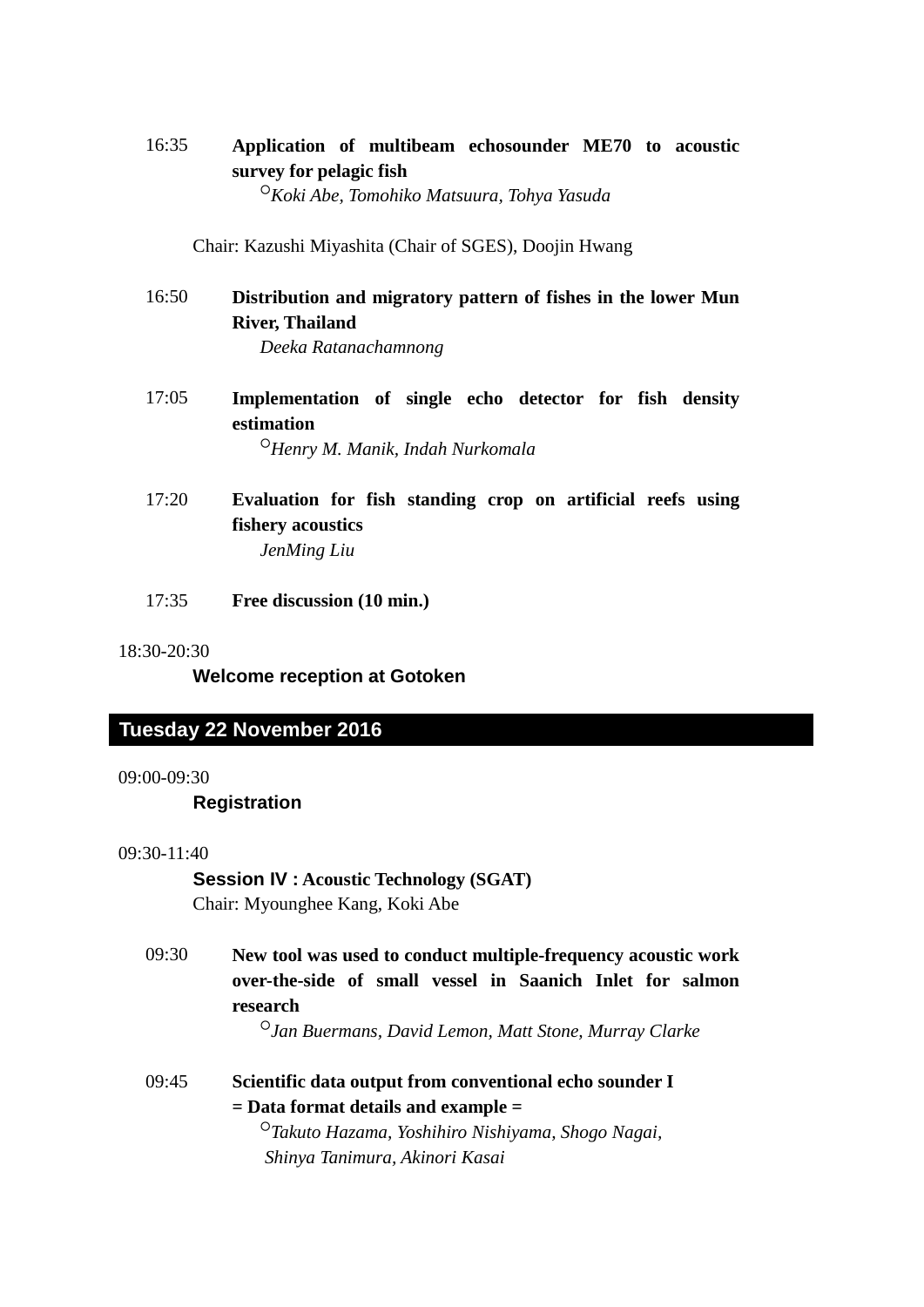# 16:35 **Application of multibeam echosounder ME70 to acoustic survey for pelagic fish**

○*Koki Abe, Tomohiko Matsuura, Tohya Yasuda*

Chair: Kazushi Miyashita (Chair of SGES), Doojin Hwang

- 16:50 **Distribution and migratory pattern of fishes in the lower Mun River, Thailand** *Deeka Ratanachamnong*
- 17:05 **Implementation of single echo detector for fish density estimation** ○*Henry M. Manik, Indah Nurkomala*
- 17:20 **Evaluation for fish standing crop on artificial reefs using fishery acoustics** *JenMing Liu*
- 17:35 **Free discussion (10 min.)**

18:30-20:30

**Welcome reception at Gotoken**

# **Wednesday 6 November Tuesday 22 November 2016**

#### 09:00-09:30

### **Registration**

#### 09:30-11:40

 **Session IV : Acoustic Technology (SGAT)** Chair: Myounghee Kang, Koki Abe

09:30 **New tool was used to conduct multiple-frequency acoustic work over-the-side of small vessel in Saanich Inlet for salmon research** ○*Jan Buermans, David Lemon, Matt Stone, Murray Clarke*

09:45 **Scientific data output from conventional echo sounder I = Data format details and example =** ○*Takuto Hazama, Yoshihiro Nishiyama, Shogo Nagai,* 

*Shinya Tanimura, Akinori Kasai*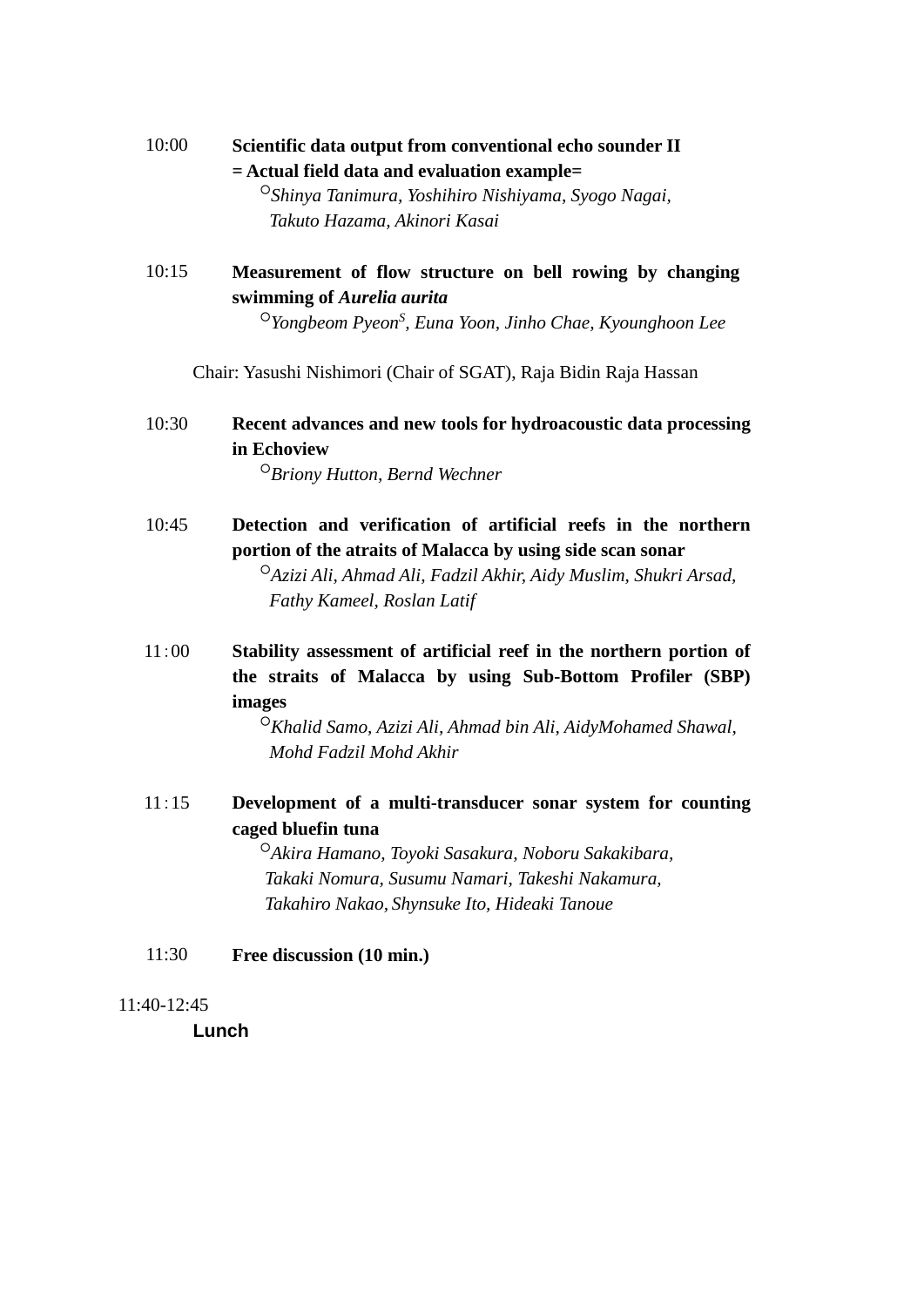# 10:00 **Scientific data output from conventional echo sounder II = Actual field data and evaluation example=**

 ○*Shinya Tanimura, Yoshihiro Nishiyama, Syogo Nagai, Takuto Hazama, Akinori Kasai*

10:15 **Measurement of flow structure on bell rowing by changing swimming of** *Aurelia aurita*

○*Yongbeom PyeonS , Euna Yoon, Jinho Chae, Kyounghoon Lee*

Chair: Yasushi Nishimori (Chair of SGAT), Raja Bidin Raja Hassan

# 10:30 **Recent advances and new tools for hydroacoustic data processing in Echoview**

○*Briony Hutton, Bernd Wechner*

10:45 **Detection and verification of artificial reefs in the northern portion of the atraits of Malacca by using side scan sonar** ○*Azizi Ali, Ahmad Ali, Fadzil Akhir, Aidy Muslim, Shukri Arsad,* 

*Fathy Kameel, Roslan Latif*

11:00 **Stability assessment of artificial reef in the northern portion of the straits of Malacca by using Sub-Bottom Profiler (SBP) images**

> ○*Khalid Samo, Azizi Ali, Ahmad bin Ali, AidyMohamed Shawal, Mohd Fadzil Mohd Akhir*

11:15 **Development of a multi-transducer sonar system for counting caged bluefin tuna**

> ○*Akira Hamano, Toyoki Sasakura, Noboru Sakakibara, Takaki Nomura, Susumu Namari, Takeshi Nakamura, Takahiro Nakao, Shynsuke Ito, Hideaki Tanoue*

11:30 **Free discussion (10 min.)**

### 11:40-12:45

 **Lunch**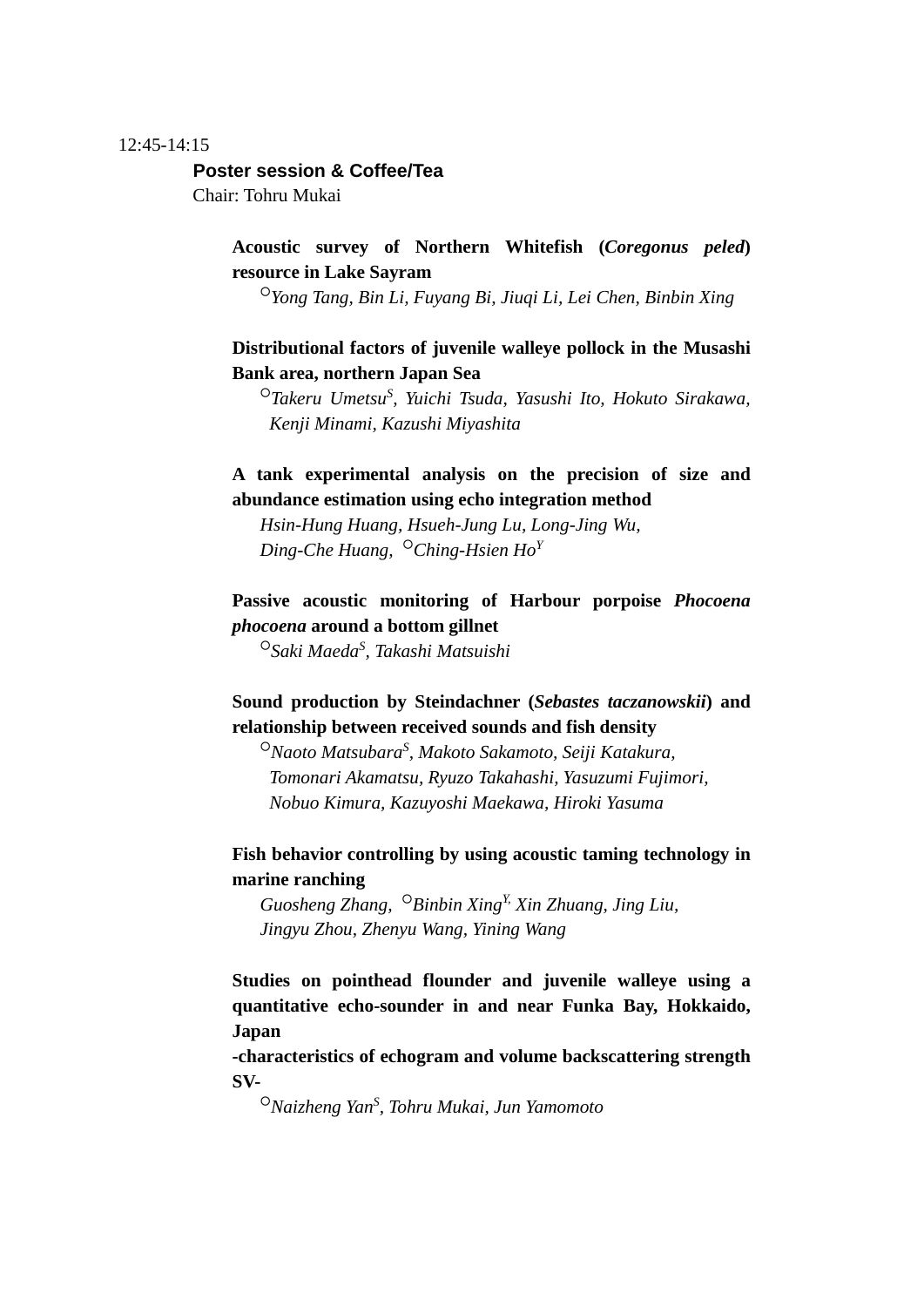#### 12:45-14:15

#### **Poster session & Coffee/Tea**

Chair: Tohru Mukai

# **Acoustic survey of Northern Whitefish (***Coregonus peled***) resource in Lake Sayram**

○*Yong Tang, Bin Li, Fuyang Bi, Jiuqi Li, Lei Chen, Binbin Xing*

# **Distributional factors of juvenile walleye pollock in the Musashi Bank area, northern Japan Sea**

<sup>O</sup>Takeru Umetsu<sup>S</sup>, Yuichi Tsuda, Yasushi Ito, Hokuto Sirakawa, *Kenji Minami, Kazushi Miyashita*

# **A tank experimental analysis on the precision of size and abundance estimation using echo integration method**

 *Hsin-Hung Huang, Hsueh-Jung Lu, Long-Jing Wu, Ding-Che Huang,* ○*Ching-Hsien Ho<sup>Y</sup>*

# **Passive acoustic monitoring of Harbour porpoise** *Phocoena phocoena* **around a bottom gillnet**

○*Saki MaedaS , Takashi Matsuishi*

# **Sound production by Steindachner (***Sebastes taczanowskii***) and relationship between received sounds and fish density**

○*Naoto MatsubaraS , Makoto Sakamoto, Seiji Katakura, Tomonari Akamatsu, Ryuzo Takahashi, Yasuzumi Fujimori, Nobuo Kimura, Kazuyoshi Maekawa, Hiroki Yasuma*

# **Fish behavior controlling by using acoustic taming technology in marine ranching**

 *Guosheng Zhang,* ○*Binbin XingY, Xin Zhuang, Jing Liu, Jingyu Zhou, Zhenyu Wang, Yining Wang*

**Studies on pointhead flounder and juvenile walleye using a quantitative echo-sounder in and near Funka Bay, Hokkaido, Japan**

**-characteristics of echogram and volume backscattering strength SV-**

○*Naizheng YanS , Tohru Mukai, Jun Yamomoto*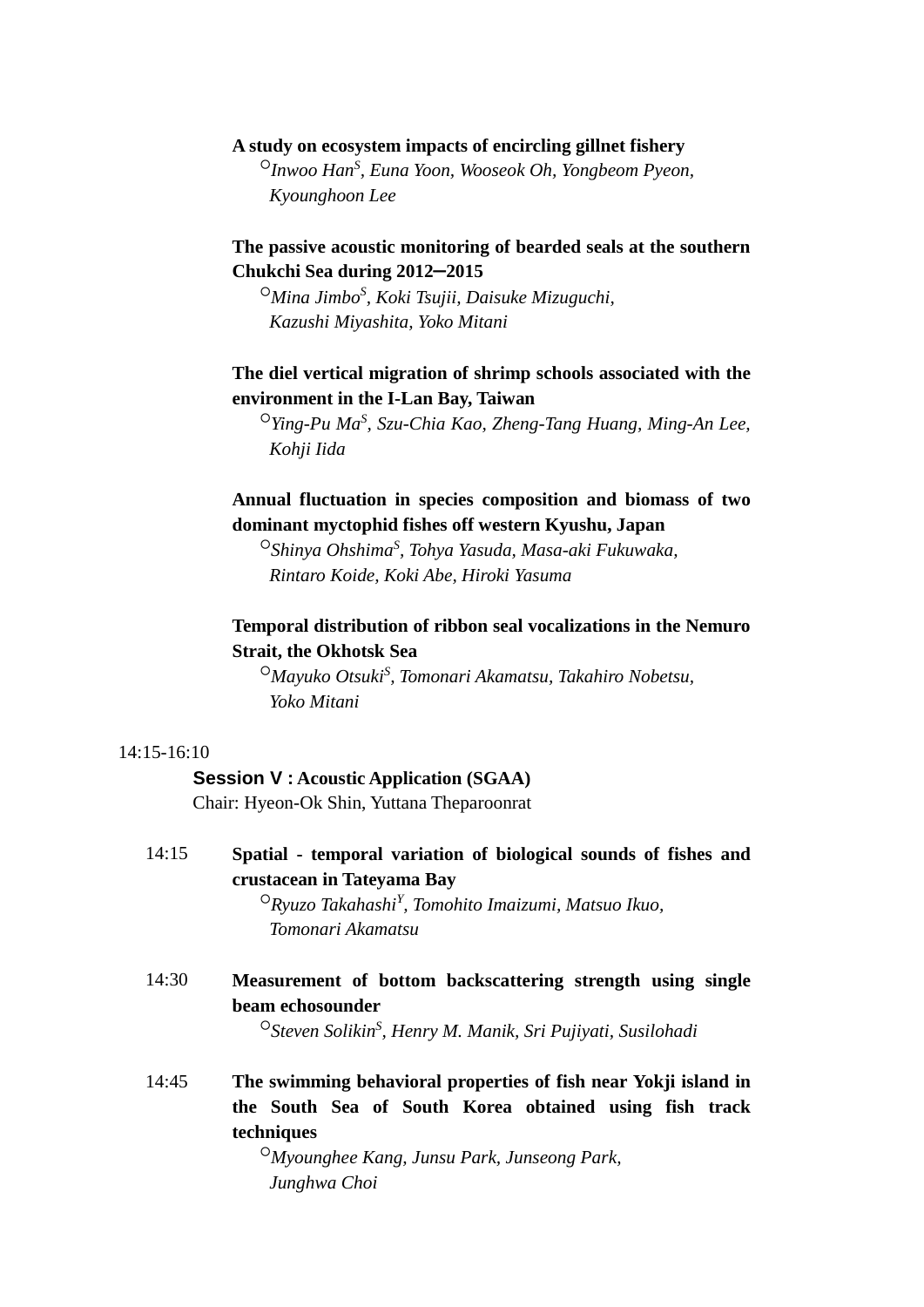### **A study on ecosystem impacts of encircling gillnet fishery**

 ○*Inwoo HanS , Euna Yoon, Wooseok Oh, Yongbeom Pyeon, Kyounghoon Lee*

# **The passive acoustic monitoring of bearded seals at the southern Chukchi Sea during 2012**−**2015**

○*Mina JimboS , Koki Tsujii, Daisuke Mizuguchi, Kazushi Miyashita, Yoko Mitani*

# **The diel vertical migration of shrimp schools associated with the environment in the I-Lan Bay, Taiwan**

○*Ying-Pu MaS , Szu-Chia Kao, Zheng-Tang Huang, Ming-An Lee, Kohji Iida*

# **Annual fluctuation in species composition and biomass of two dominant myctophid fishes off western Kyushu, Japan**

○*Shinya OhshimaS , Tohya Yasuda, Masa-aki Fukuwaka, Rintaro Koide, Koki Abe, Hiroki Yasuma*

# **Temporal distribution of ribbon seal vocalizations in the Nemuro Strait, the Okhotsk Sea**

○*Mayuko Otsuki<sup>S</sup> , Tomonari Akamatsu, Takahiro Nobetsu, Yoko Mitani*

#### 14:15-16:10

#### **Session V : Acoustic Application (SGAA)**

Chair: Hyeon-Ok Shin, Yuttana Theparoonrat

| 14:15 | Spatial - temporal variation of biological sounds of fishes and                              |
|-------|----------------------------------------------------------------------------------------------|
|       | crustacean in Tateyama Bay                                                                   |
|       | $\circ R$ yuzo Takahashi <sup>Y</sup> , Tomohito Imaizumi, Matsuo Ikuo,<br>Tomonari Akamatsu |
| 14:30 | Measurement of bottom backscattering strength using single                                   |

**beam echosounder**

○*Steven SolikinS , Henry M. Manik, Sri Pujiyati, Susilohadi*

14:45 **The swimming behavioral properties of fish near Yokji island in the South Sea of South Korea obtained using fish track techniques**

> ○*Myounghee Kang, Junsu Park, Junseong Park, Junghwa Choi*